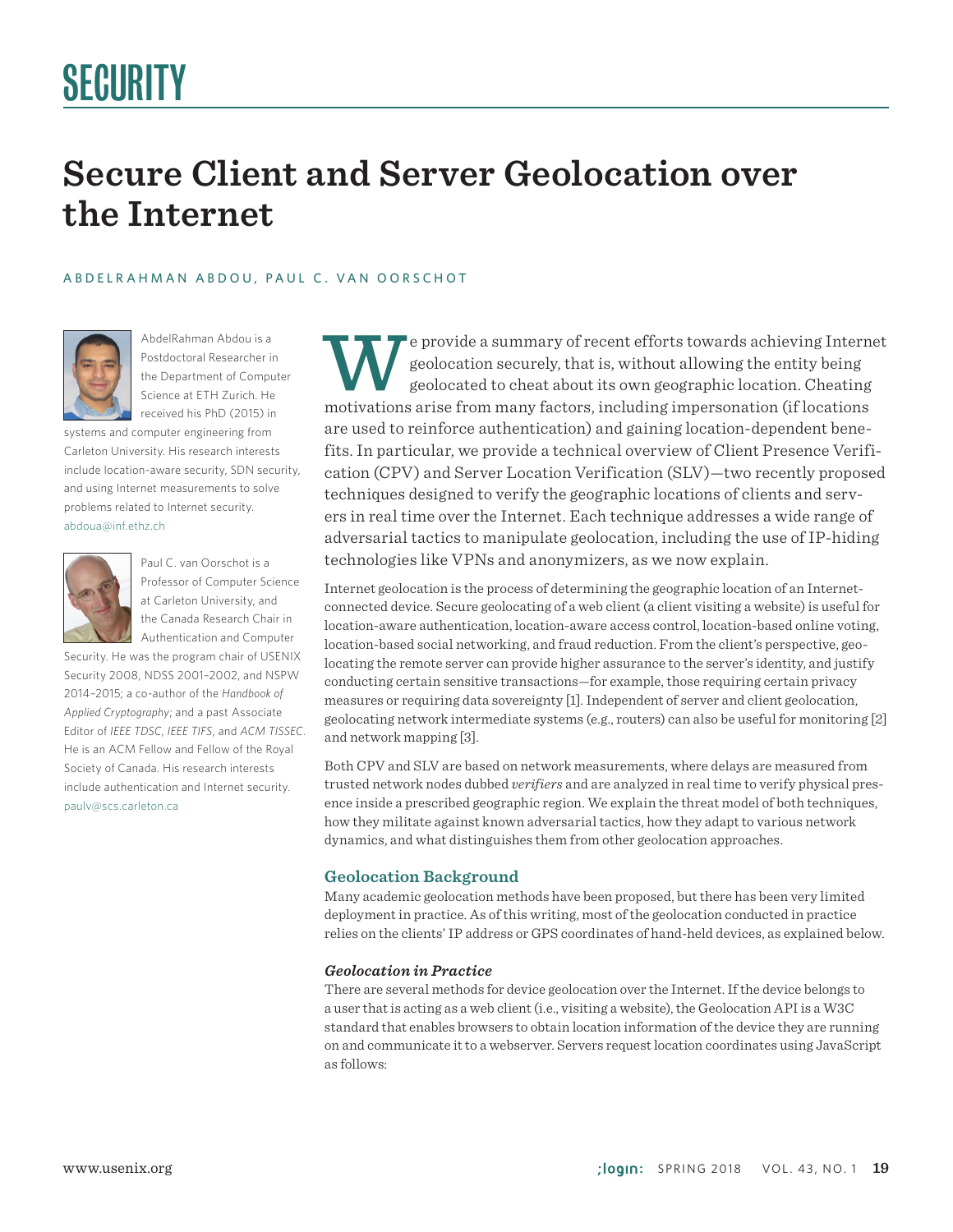# SECURITY

# **Secure Client and Server Geolocation over the Internet**

#### A B D E L R A H M A N A B D O U , P A U L C . V A N O O R S C H O T



AbdelRahman Abdou is a Postdoctoral Researcher in the Department of Computer Science at ETH Zurich. He received his PhD (2015) in

systems and computer engineering from Carleton University. His research interests include location-aware security, SDN security, and using Internet measurements to solve problems related to Internet security. abdoua@inf.ethz.ch



Paul C. van Oorschot is a Professor of Computer Science at Carleton University, and the Canada Research Chair in Authentication and Computer

Security. He was the program chair of USENIX Security 2008, NDSS 2001–2002, and NSPW 2014–2015; a co-author of the *Handbook of Applied Cryptography*; and a past Associate Editor of *IEEE TDSC*, *IEEE TIFS*, and *ACM TISSEC*. He is an ACM Fellow and Fellow of the Royal Society of Canada. His research interests include authentication and Internet security. paulv@scs.carleton.ca

e provide a summary of recent efforts towards achieving Internet geolocation securely, that is, without allowing the entity being geolocated to cheat about its own geographic location. Cheating motivations arise from many factors, including impersonation (if locations are used to reinforce authentication) and gaining location-dependent benefits. In particular, we provide a technical overview of Client Presence Verification (CPV) and Server Location Verification (SLV)—two recently proposed techniques designed to verify the geographic locations of clients and servers in real time over the Internet. Each technique addresses a wide range of adversarial tactics to manipulate geolocation, including the use of IP-hiding technologies like VPNs and anonymizers, as we now explain.

Internet geolocation is the process of determining the geographic location of an Internetconnected device. Secure geolocating of a web client (a client visiting a website) is useful for location-aware authentication, location-aware access control, location-based online voting, location-based social networking, and fraud reduction. From the client's perspective, geolocating the remote server can provide higher assurance to the server's identity, and justify conducting certain sensitive transactions—for example, those requiring certain privacy measures or requiring data sovereignty [1]. Independent of server and client geolocation, geolocating network intermediate systems (e.g., routers) can also be useful for monitoring [2] and network mapping [3].

Both CPV and SLV are based on network measurements, where delays are measured from trusted network nodes dubbed *verifiers* and are analyzed in real time to verify physical presence inside a prescribed geographic region. We explain the threat model of both techniques, how they militate against known adversarial tactics, how they adapt to various network dynamics, and what distinguishes them from other geolocation approaches.

#### **Geolocation Background**

Many academic geolocation methods have been proposed, but there has been very limited deployment in practice. As of this writing, most of the geolocation conducted in practice relies on the clients' IP address or GPS coordinates of hand-held devices, as explained below.

#### *Geolocation in Practice*

There are several methods for device geolocation over the Internet. If the device belongs to a user that is acting as a web client (i.e., visiting a website), the Geolocation API is a W3C standard that enables browsers to obtain location information of the device they are running on and communicate it to a webserver. Servers request location coordinates using JavaScript as follows: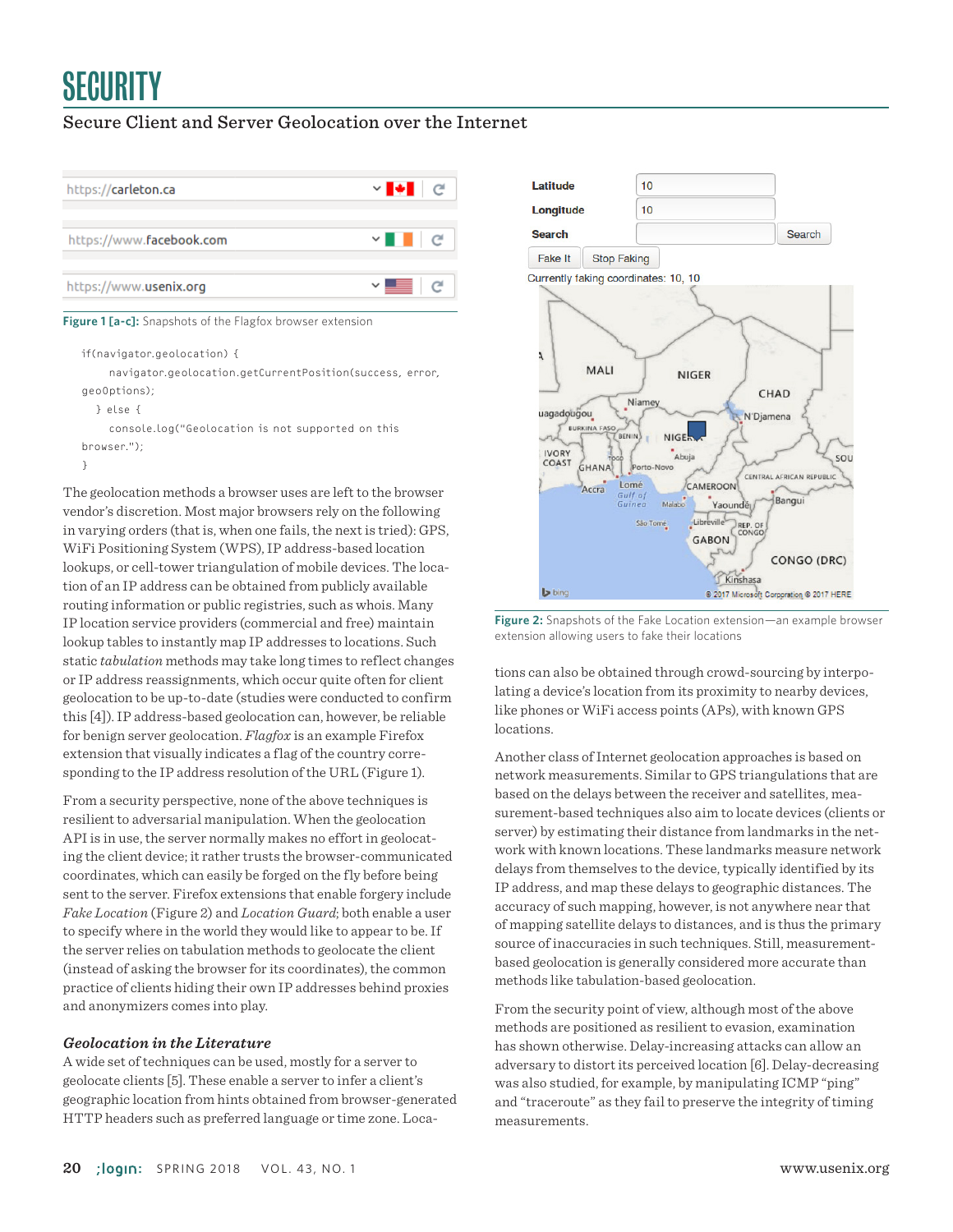# **SECURITY**

# Secure Client and Server Geolocation over the Internet



**Figure 1 [a-c]:** Snapshots of the Flagfox browser extension

```
if(navigator.geolocation) {
```
 navigator.geolocation.getCurrentPosition(success, error, geoOptions);

```
 } else {
```
 console.log("Geolocation is not supported on this browser."); }

The geolocation methods a browser uses are left to the browser vendor's discretion. Most major browsers rely on the following in varying orders (that is, when one fails, the next is tried): GPS, WiFi Positioning System (WPS), IP address-based location lookups, or cell-tower triangulation of mobile devices. The location of an IP address can be obtained from publicly available routing information or public registries, such as whois. Many IP location service providers (commercial and free) maintain lookup tables to instantly map IP addresses to locations. Such static *tabulation* methods may take long times to reflect changes or IP address reassignments, which occur quite often for client geolocation to be up-to-date (studies were conducted to confirm this [4]). IP address-based geolocation can, however, be reliable for benign server geolocation. *Flagfox* is an example Firefox extension that visually indicates a flag of the country corresponding to the IP address resolution of the URL (Figure 1).

From a security perspective, none of the above techniques is resilient to adversarial manipulation. When the geolocation API is in use, the server normally makes no effort in geolocating the client device; it rather trusts the browser-communicated coordinates, which can easily be forged on the fly before being sent to the server. Firefox extensions that enable forgery include *Fake Location* (Figure 2) and *Location Guard*; both enable a user to specify where in the world they would like to appear to be. If the server relies on tabulation methods to geolocate the client (instead of asking the browser for its coordinates), the common practice of clients hiding their own IP addresses behind proxies and anonymizers comes into play.

#### *Geolocation in the Literature*

A wide set of techniques can be used, mostly for a server to geolocate clients [5]. These enable a server to infer a client's geographic location from hints obtained from browser-generated HTTP headers such as preferred language or time zone. Loca-



**Figure 2:** Snapshots of the Fake Location extension—an example browser extension allowing users to fake their locations

tions can also be obtained through crowd-sourcing by interpolating a device's location from its proximity to nearby devices, like phones or WiFi access points (APs), with known GPS locations.

Another class of Internet geolocation approaches is based on network measurements. Similar to GPS triangulations that are based on the delays between the receiver and satellites, measurement-based techniques also aim to locate devices (clients or server) by estimating their distance from landmarks in the network with known locations. These landmarks measure network delays from themselves to the device, typically identified by its IP address, and map these delays to geographic distances. The accuracy of such mapping, however, is not anywhere near that of mapping satellite delays to distances, and is thus the primary source of inaccuracies in such techniques. Still, measurementbased geolocation is generally considered more accurate than methods like tabulation-based geolocation.

From the security point of view, although most of the above methods are positioned as resilient to evasion, examination has shown otherwise. Delay-increasing attacks can allow an adversary to distort its perceived location [6]. Delay-decreasing was also studied, for example, by manipulating ICMP "ping" and "traceroute" as they fail to preserve the integrity of timing measurements.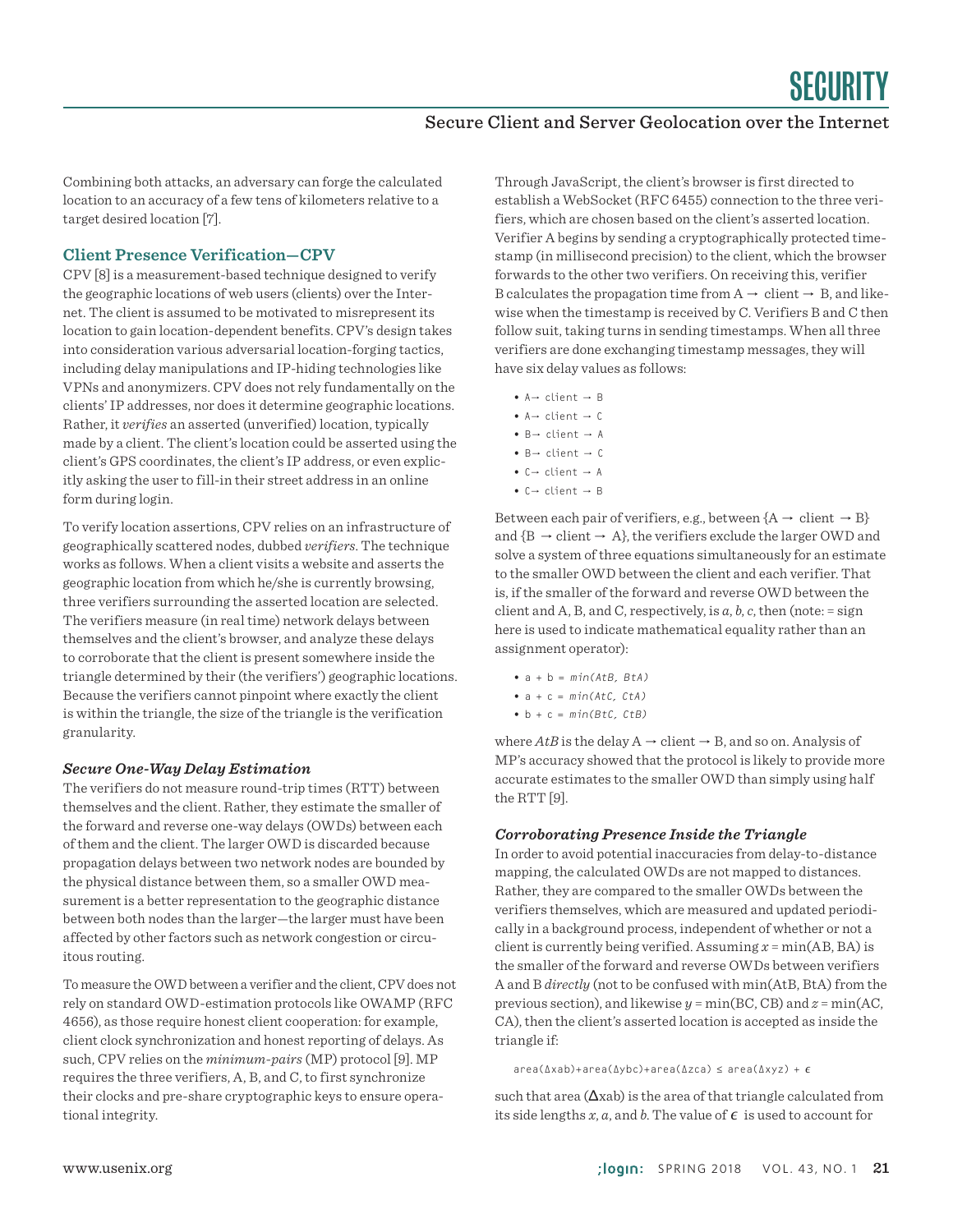Combining both attacks, an adversary can forge the calculated location to an accuracy of a few tens of kilometers relative to a target desired location [7].

### **Client Presence Verification—CPV**

CPV [8] is a measurement-based technique designed to verify the geographic locations of web users (clients) over the Internet. The client is assumed to be motivated to misrepresent its location to gain location-dependent benefits. CPV's design takes into consideration various adversarial location-forging tactics, including delay manipulations and IP-hiding technologies like VPNs and anonymizers. CPV does not rely fundamentally on the clients' IP addresses, nor does it determine geographic locations. Rather, it *verifies* an asserted (unverified) location, typically made by a client. The client's location could be asserted using the client's GPS coordinates, the client's IP address, or even explicitly asking the user to fill-in their street address in an online form during login.

To verify location assertions, CPV relies on an infrastructure of geographically scattered nodes, dubbed *verifiers*. The technique works as follows. When a client visits a website and asserts the geographic location from which he/she is currently browsing, three verifiers surrounding the asserted location are selected. The verifiers measure (in real time) network delays between themselves and the client's browser, and analyze these delays to corroborate that the client is present somewhere inside the triangle determined by their (the verifiers') geographic locations. Because the verifiers cannot pinpoint where exactly the client is within the triangle, the size of the triangle is the verification granularity.

#### *Secure One-Way Delay Estimation*

The verifiers do not measure round-trip times (RTT) between themselves and the client. Rather, they estimate the smaller of the forward and reverse one-way delays (OWDs) between each of them and the client. The larger OWD is discarded because propagation delays between two network nodes are bounded by the physical distance between them, so a smaller OWD measurement is a better representation to the geographic distance between both nodes than the larger—the larger must have been affected by other factors such as network congestion or circuitous routing.

To measure the OWD between a verifier and the client, CPV does not rely on standard OWD-estimation protocols like OWAMP (RFC 4656), as those require honest client cooperation: for example, client clock synchronization and honest reporting of delays. As such, CPV relies on the *minimum-pairs* (MP) protocol [9]. MP requires the three verifiers, A, B, and C, to first synchronize their clocks and pre-share cryptographic keys to ensure operational integrity.

Through JavaScript, the client's browser is first directed to establish a WebSocket (RFC 6455) connection to the three verifiers, which are chosen based on the client's asserted location. Verifier A begins by sending a cryptographically protected timestamp (in millisecond precision) to the client, which the browser forwards to the other two verifiers. On receiving this, verifier B calculates the propagation time from  $A \rightarrow$  client  $\rightarrow$  B, and likewise when the timestamp is received by C. Verifiers B and C then follow suit, taking turns in sending timestamps. When all three verifiers are done exchanging timestamp messages, they will have six delay values as follows:

- A→ client → B • A→ client → C • B→ client → A  $\bullet$  B  $\rightarrow$  client  $\rightarrow$  C
- C→ client → A
- C→ client → B

Between each pair of verifiers, e.g., between  ${A \rightarrow client \rightarrow B}$ and  ${B \rightarrow client \rightarrow A}$ , the verifiers exclude the larger OWD and solve a system of three equations simultaneously for an estimate to the smaller OWD between the client and each verifier. That is, if the smaller of the forward and reverse OWD between the client and A, B, and C, respectively, is  $a, b, c$ , then (note:  $=$  sign here is used to indicate mathematical equality rather than an assignment operator):

- $a + b = min(A \cdot B, B \cdot A)$
- $a + c = min(A \, t \, C, C \, t \, A)$
- $b + c = min(Btc, CtB)$

where  $AtB$  is the delay  $A \rightarrow$  client  $\rightarrow$  B, and so on. Analysis of MP's accuracy showed that the protocol is likely to provide more accurate estimates to the smaller OWD than simply using half the RTT [9].

#### *Corroborating Presence Inside the Triangle*

In order to avoid potential inaccuracies from delay-to-distance mapping, the calculated OWDs are not mapped to distances. Rather, they are compared to the smaller OWDs between the verifiers themselves, which are measured and updated periodically in a background process, independent of whether or not a client is currently being verified. Assuming  $x = min(AB, BA)$  is the smaller of the forward and reverse OWDs between verifiers A and B *directly* (not to be confused with min(AtB, BtA) from the previous section), and likewise *y* = min(BC, CB) and *z* = min(AC, CA), then the client's asserted location is accepted as inside the triangle if:

area(Δxab)+area(Δybc)+area(Δzca) ≤ area(Δxyz) + ϵ

such that area  $(\Delta xab)$  is the area of that triangle calculated from its side lengths  $x$ ,  $a$ , and  $b$ . The value of  $\epsilon$  is used to account for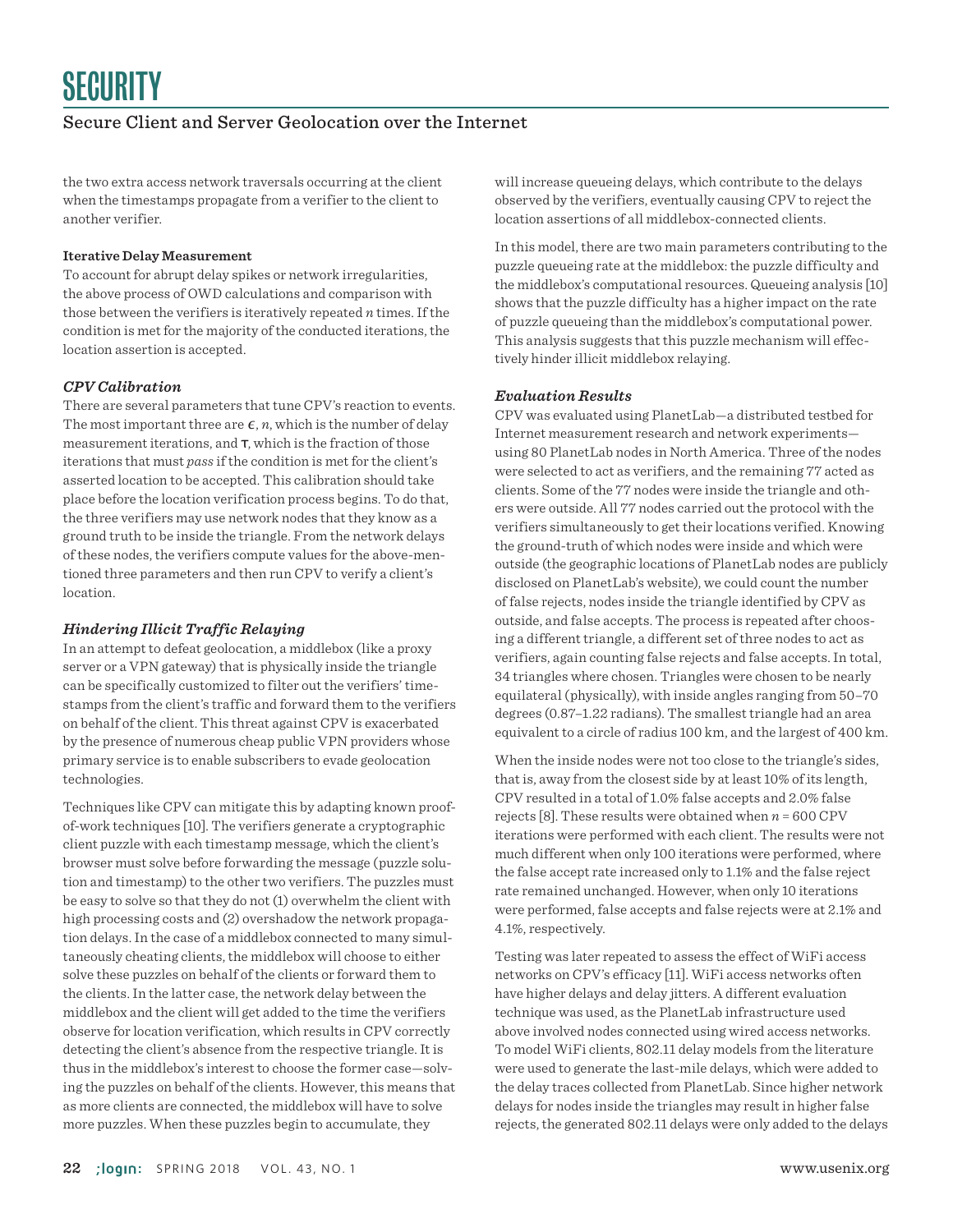the two extra access network traversals occurring at the client when the timestamps propagate from a verifier to the client to another verifier.

#### **Iterative Delay Measurement**

To account for abrupt delay spikes or network irregularities, the above process of OWD calculations and comparison with those between the verifiers is iteratively repeated *n* times. If the condition is met for the majority of the conducted iterations, the location assertion is accepted.

#### *CPV Calibration*

There are several parameters that tune CPV's reaction to events. The most important three are  $\epsilon$ , *n*, which is the number of delay measurement iterations, and τ, which is the fraction of those iterations that must *pass* if the condition is met for the client's asserted location to be accepted. This calibration should take place before the location verification process begins. To do that, the three verifiers may use network nodes that they know as a ground truth to be inside the triangle. From the network delays of these nodes, the verifiers compute values for the above-mentioned three parameters and then run CPV to verify a client's location.

#### *Hindering Illicit Traffic Relaying*

In an attempt to defeat geolocation, a middlebox (like a proxy server or a VPN gateway) that is physically inside the triangle can be specifically customized to filter out the verifiers' timestamps from the client's traffic and forward them to the verifiers on behalf of the client. This threat against CPV is exacerbated by the presence of numerous cheap public VPN providers whose primary service is to enable subscribers to evade geolocation technologies.

Techniques like CPV can mitigate this by adapting known proofof-work techniques [10]. The verifiers generate a cryptographic client puzzle with each timestamp message, which the client's browser must solve before forwarding the message (puzzle solution and timestamp) to the other two verifiers. The puzzles must be easy to solve so that they do not (1) overwhelm the client with high processing costs and (2) overshadow the network propagation delays. In the case of a middlebox connected to many simultaneously cheating clients, the middlebox will choose to either solve these puzzles on behalf of the clients or forward them to the clients. In the latter case, the network delay between the middlebox and the client will get added to the time the verifiers observe for location verification, which results in CPV correctly detecting the client's absence from the respective triangle. It is thus in the middlebox's interest to choose the former case—solving the puzzles on behalf of the clients. However, this means that as more clients are connected, the middlebox will have to solve more puzzles. When these puzzles begin to accumulate, they

will increase queueing delays, which contribute to the delays observed by the verifiers, eventually causing CPV to reject the location assertions of all middlebox-connected clients.

In this model, there are two main parameters contributing to the puzzle queueing rate at the middlebox: the puzzle difficulty and the middlebox's computational resources. Queueing analysis [10] shows that the puzzle difficulty has a higher impact on the rate of puzzle queueing than the middlebox's computational power. This analysis suggests that this puzzle mechanism will effectively hinder illicit middlebox relaying.

#### *Evaluation Results*

CPV was evaluated using PlanetLab—a distributed testbed for Internet measurement research and network experiments using 80 PlanetLab nodes in North America. Three of the nodes were selected to act as verifiers, and the remaining 77 acted as clients. Some of the 77 nodes were inside the triangle and others were outside. All 77 nodes carried out the protocol with the verifiers simultaneously to get their locations verified. Knowing the ground-truth of which nodes were inside and which were outside (the geographic locations of PlanetLab nodes are publicly disclosed on PlanetLab's website), we could count the number of false rejects, nodes inside the triangle identified by CPV as outside, and false accepts. The process is repeated after choosing a different triangle, a different set of three nodes to act as verifiers, again counting false rejects and false accepts. In total, 34 triangles where chosen. Triangles were chosen to be nearly equilateral (physically), with inside angles ranging from 50–70 degrees (0.87–1.22 radians). The smallest triangle had an area equivalent to a circle of radius 100 km, and the largest of 400 km.

When the inside nodes were not too close to the triangle's sides, that is, away from the closest side by at least 10% of its length, CPV resulted in a total of 1.0% false accepts and 2.0% false rejects [8]. These results were obtained when  $n = 600$  CPV iterations were performed with each client. The results were not much different when only 100 iterations were performed, where the false accept rate increased only to 1.1% and the false reject rate remained unchanged. However, when only 10 iterations were performed, false accepts and false rejects were at 2.1% and 4.1%, respectively.

Testing was later repeated to assess the effect of WiFi access networks on CPV's efficacy [11]. WiFi access networks often have higher delays and delay jitters. A different evaluation technique was used, as the PlanetLab infrastructure used above involved nodes connected using wired access networks. To model WiFi clients, 802.11 delay models from the literature were used to generate the last-mile delays, which were added to the delay traces collected from PlanetLab. Since higher network delays for nodes inside the triangles may result in higher false rejects, the generated 802.11 delays were only added to the delays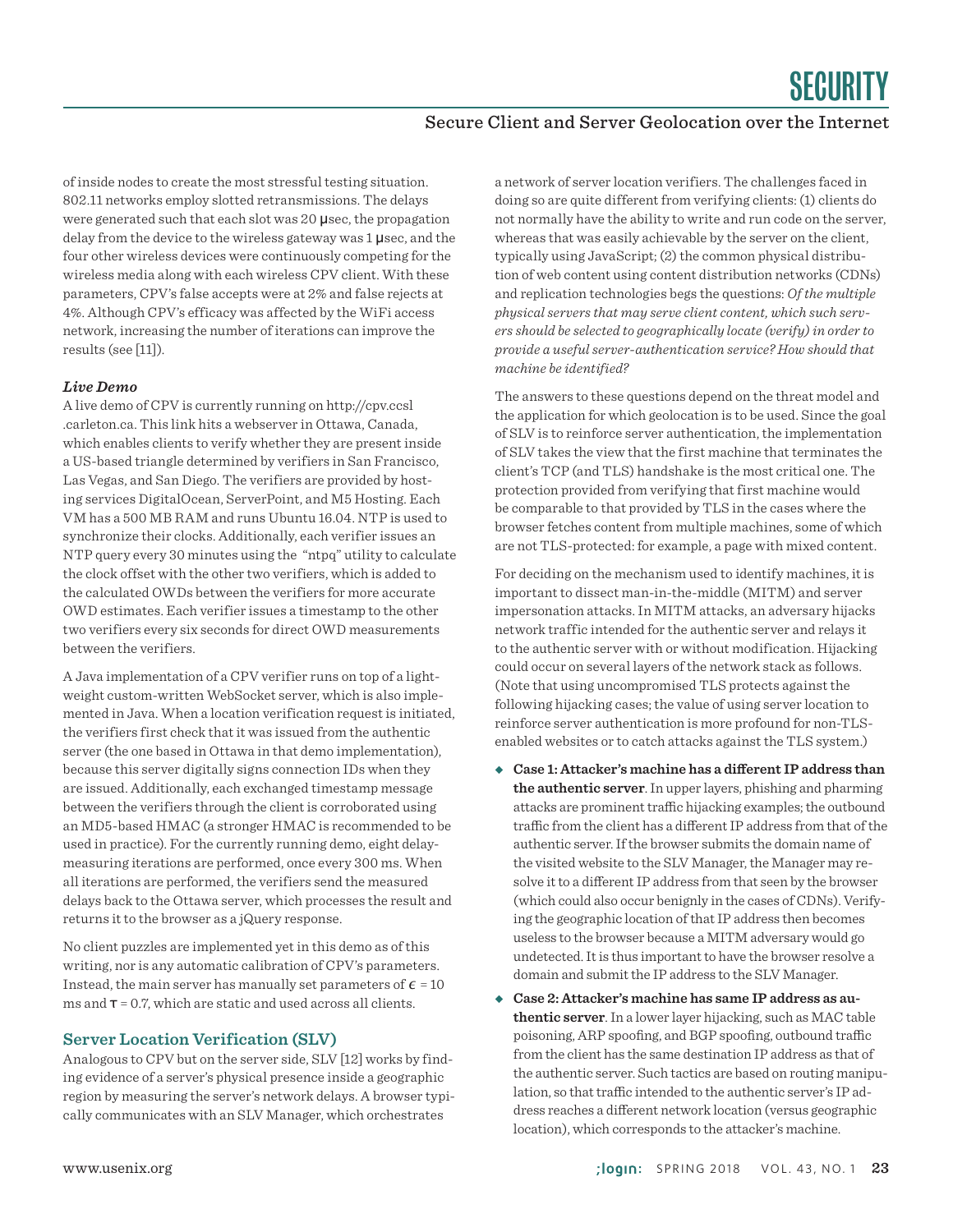of inside nodes to create the most stressful testing situation. 802.11 networks employ slotted retransmissions. The delays were generated such that each slot was 20 µsec, the propagation delay from the device to the wireless gateway was 1 µsec, and the four other wireless devices were continuously competing for the wireless media along with each wireless CPV client. With these parameters, CPV's false accepts were at 2% and false rejects at 4%. Although CPV's efficacy was affected by the WiFi access network, increasing the number of iterations can improve the results (see [11]).

#### *Live Demo*

A live demo of CPV is currently running on http://cpv.ccsl .carleton.ca. This link hits a webserver in Ottawa, Canada, which enables clients to verify whether they are present inside a US-based triangle determined by verifiers in San Francisco, Las Vegas, and San Diego. The verifiers are provided by hosting services DigitalOcean, ServerPoint, and M5 Hosting. Each VM has a 500 MB RAM and runs Ubuntu 16.04. NTP is used to synchronize their clocks. Additionally, each verifier issues an NTP query every 30 minutes using the "ntpq" utility to calculate the clock offset with the other two verifiers, which is added to the calculated OWDs between the verifiers for more accurate OWD estimates. Each verifier issues a timestamp to the other two verifiers every six seconds for direct OWD measurements between the verifiers.

A Java implementation of a CPV verifier runs on top of a lightweight custom-written WebSocket server, which is also implemented in Java. When a location verification request is initiated, the verifiers first check that it was issued from the authentic server (the one based in Ottawa in that demo implementation), because this server digitally signs connection IDs when they are issued. Additionally, each exchanged timestamp message between the verifiers through the client is corroborated using an MD5-based HMAC (a stronger HMAC is recommended to be used in practice). For the currently running demo, eight delaymeasuring iterations are performed, once every 300 ms. When all iterations are performed, the verifiers send the measured delays back to the Ottawa server, which processes the result and returns it to the browser as a jQuery response.

No client puzzles are implemented yet in this demo as of this writing, nor is any automatic calibration of CPV's parameters. Instead, the main server has manually set parameters of  $\epsilon$  = 10 ms and  $\tau$  = 0.7, which are static and used across all clients.

#### **Server Location Verification (SLV)**

Analogous to CPV but on the server side, SLV [12] works by finding evidence of a server's physical presence inside a geographic region by measuring the server's network delays. A browser typically communicates with an SLV Manager, which orchestrates

a network of server location verifiers. The challenges faced in doing so are quite different from verifying clients: (1) clients do not normally have the ability to write and run code on the server, whereas that was easily achievable by the server on the client, typically using JavaScript; (2) the common physical distribution of web content using content distribution networks (CDNs) and replication technologies begs the questions: *Of the multiple physical servers that may serve client content, which such servers should be selected to geographically locate (verify) in order to provide a useful server-authentication service? How should that machine be identified?*

The answers to these questions depend on the threat model and the application for which geolocation is to be used. Since the goal of SLV is to reinforce server authentication, the implementation of SLV takes the view that the first machine that terminates the client's TCP (and TLS) handshake is the most critical one. The protection provided from verifying that first machine would be comparable to that provided by TLS in the cases where the browser fetches content from multiple machines, some of which are not TLS-protected: for example, a page with mixed content.

For deciding on the mechanism used to identify machines, it is important to dissect man-in-the-middle (MITM) and server impersonation attacks. In MITM attacks, an adversary hijacks network traffic intended for the authentic server and relays it to the authentic server with or without modification. Hijacking could occur on several layers of the network stack as follows. (Note that using uncompromised TLS protects against the following hijacking cases; the value of using server location to reinforce server authentication is more profound for non-TLSenabled websites or to catch attacks against the TLS system.)

- ◆ Case 1: Attacker's machine has a different IP address than **the authentic server**. In upper layers, phishing and pharming attacks are prominent traffic hijacking examples; the outbound traffic from the client has a different IP address from that of the authentic server. If the browser submits the domain name of the visited website to the SLV Manager, the Manager may resolve it to a different IP address from that seen by the browser (which could also occur benignly in the cases of CDNs). Verifying the geographic location of that IP address then becomes useless to the browser because a MITM adversary would go undetected. It is thus important to have the browser resolve a domain and submit the IP address to the SLV Manager.
- ◆ Case 2: Attacker's machine has same IP address as au**thentic server**. In a lower layer hijacking, such as MAC table poisoning, ARP spoofing, and BGP spoofing, outbound traffic from the client has the same destination IP address as that of the authentic server. Such tactics are based on routing manipulation, so that traffic intended to the authentic server's IP address reaches a different network location (versus geographic location), which corresponds to the attacker's machine.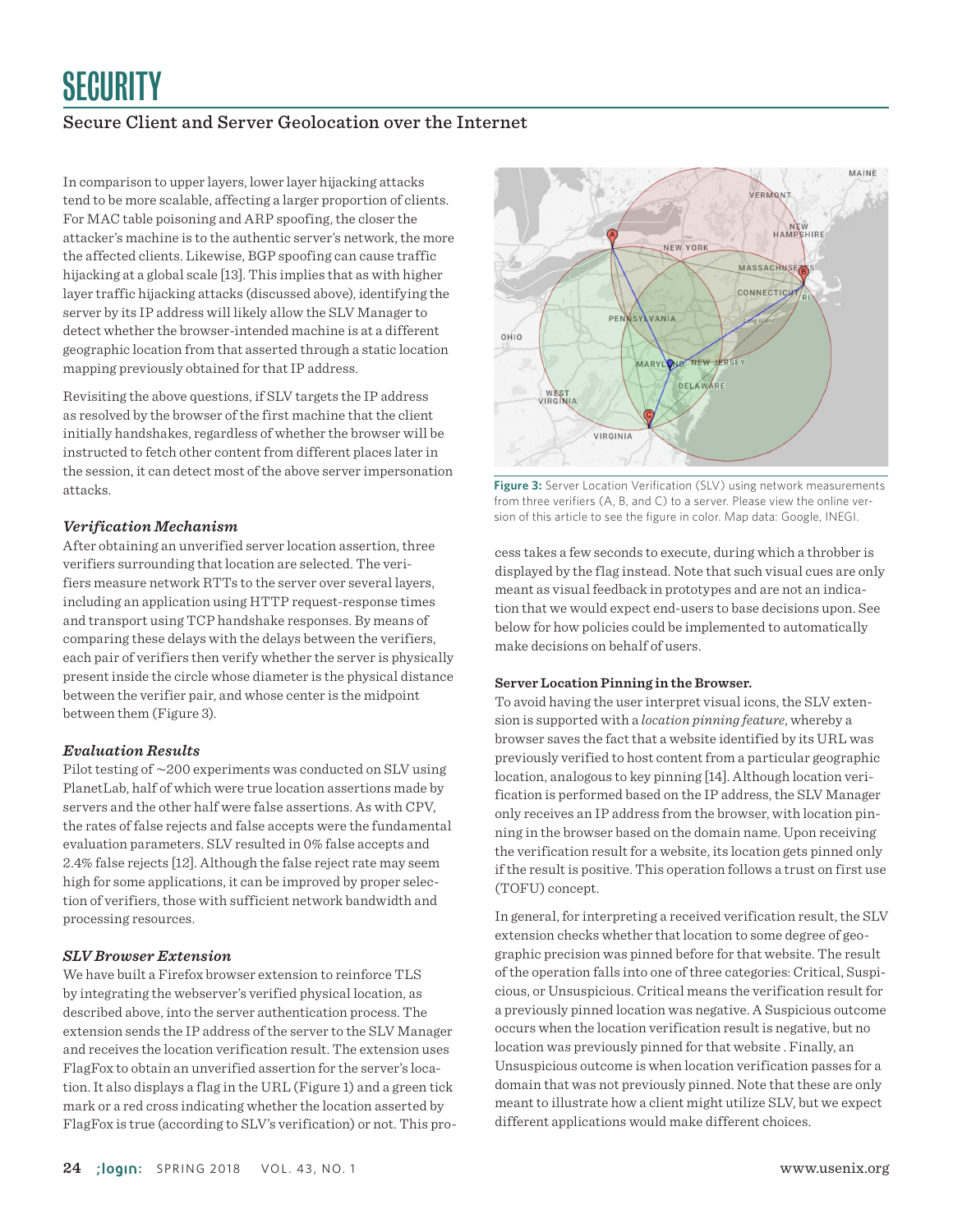In comparison to upper layers, lower layer hijacking attacks tend to be more scalable, affecting a larger proportion of clients. For MAC table poisoning and ARP spoofing, the closer the attacker's machine is to the authentic server's network, the more the affected clients. Likewise, BGP spoofing can cause traffic hijacking at a global scale [13]. This implies that as with higher layer traffic hijacking attacks (discussed above), identifying the server by its IP address will likely allow the SLV Manager to detect whether the browser-intended machine is at a different geographic location from that asserted through a static location mapping previously obtained for that IP address.

Revisiting the above questions, if SLV targets the IP address as resolved by the browser of the first machine that the client initially handshakes, regardless of whether the browser will be instructed to fetch other content from different places later in the session, it can detect most of the above server impersonation attacks.

#### *Verification Mechanism*

After obtaining an unverified server location assertion, three verifiers surrounding that location are selected. The verifiers measure network RTTs to the server over several layers, including an application using HTTP request-response times and transport using TCP handshake responses. By means of comparing these delays with the delays between the verifiers, each pair of verifiers then verify whether the server is physically present inside the circle whose diameter is the physical distance between the verifier pair, and whose center is the midpoint between them (Figure 3).

#### *Evaluation Results*

Pilot testing of ∼200 experiments was conducted on SLV using PlanetLab, half of which were true location assertions made by servers and the other half were false assertions. As with CPV, the rates of false rejects and false accepts were the fundamental evaluation parameters. SLV resulted in 0% false accepts and 2.4% false rejects [12]. Although the false reject rate may seem high for some applications, it can be improved by proper selection of verifiers, those with sufficient network bandwidth and processing resources.

#### *SLV Browser Extension*

We have built a Firefox browser extension to reinforce TLS by integrating the webserver's verified physical location, as described above, into the server authentication process. The extension sends the IP address of the server to the SLV Manager and receives the location verification result. The extension uses FlagFox to obtain an unverified assertion for the server's location. It also displays a flag in the URL (Figure 1) and a green tick mark or a red cross indicating whether the location asserted by FlagFox is true (according to SLV's verification) or not. This pro-



**Figure 3:** Server Location Verification (SLV) using network measurements from three verifiers (A, B, and C) to a server. Please view the online version of this article to see the figure in color. Map data: Google, INEGI.

cess takes a few seconds to execute, during which a throbber is displayed by the flag instead. Note that such visual cues are only meant as visual feedback in prototypes and are not an indication that we would expect end-users to base decisions upon. See below for how policies could be implemented to automatically make decisions on behalf of users.

#### **Server Location Pinning in the Browser.**

To avoid having the user interpret visual icons, the SLV extension is supported with a *location pinning feature*, whereby a browser saves the fact that a website identified by its URL was previously verified to host content from a particular geographic location, analogous to key pinning [14]. Although location verification is performed based on the IP address, the SLV Manager only receives an IP address from the browser, with location pinning in the browser based on the domain name. Upon receiving the verification result for a website, its location gets pinned only if the result is positive. This operation follows a trust on first use (TOFU) concept.

In general, for interpreting a received verification result, the SLV extension checks whether that location to some degree of geographic precision was pinned before for that website. The result of the operation falls into one of three categories: Critical, Suspicious, or Unsuspicious. Critical means the verification result for a previously pinned location was negative. A Suspicious outcome occurs when the location verification result is negative, but no location was previously pinned for that website . Finally, an Unsuspicious outcome is when location verification passes for a domain that was not previously pinned. Note that these are only meant to illustrate how a client might utilize SLV, but we expect different applications would make different choices.